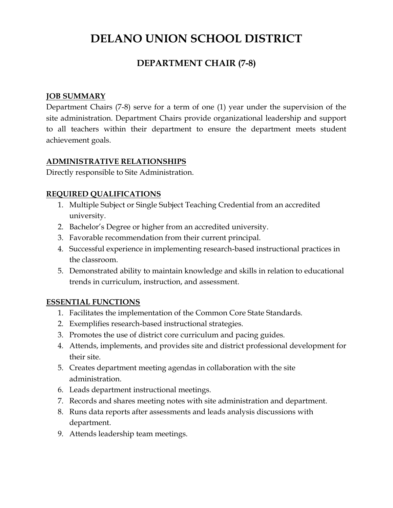# **DELANO UNION SCHOOL DISTRICT**

## **DEPARTMENT CHAIR (7-8)**

#### **JOB SUMMARY**

Department Chairs (7-8) serve for a term of one (1) year under the supervision of the site administration. Department Chairs provide organizational leadership and support to all teachers within their department to ensure the department meets student achievement goals.

### **ADMINISTRATIVE RELATIONSHIPS**

Directly responsible to Site Administration.

### **REQUIRED QUALIFICATIONS**

- 1. Multiple Subject or Single Subject Teaching Credential from an accredited university.
- 2. Bachelor's Degree or higher from an accredited university.
- 3. Favorable recommendation from their current principal.
- 4. Successful experience in implementing research-based instructional practices in the classroom.
- 5. Demonstrated ability to maintain knowledge and skills in relation to educational trends in curriculum, instruction, and assessment.

### **ESSENTIAL FUNCTIONS**

- 1. Facilitates the implementation of the Common Core State Standards.
- 2. Exemplifies research-based instructional strategies.
- 3. Promotes the use of district core curriculum and pacing guides.
- 4. Attends, implements, and provides site and district professional development for their site.
- 5. Creates department meeting agendas in collaboration with the site administration.
- 6. Leads department instructional meetings.
- 7. Records and shares meeting notes with site administration and department.
- 8. Runs data reports after assessments and leads analysis discussions with department.
- 9. Attends leadership team meetings.